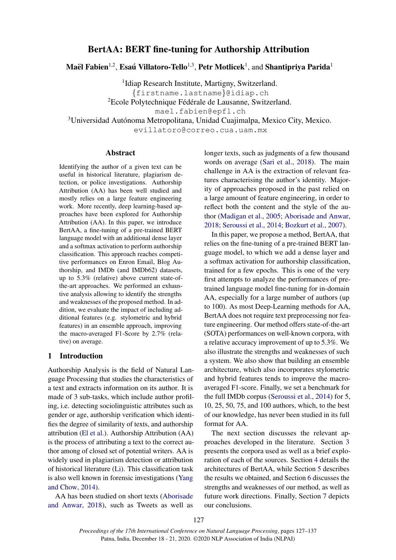# BertAA: BERT fine-tuning for Authorship Attribution

Maël Fabien $^{1,2}$ , Esaú Villatoro-Tello $^{1,3}$ , Petr Motlicek $^{1}$ , and Shantipriya Parida $^{1}$ 

<sup>1</sup>Idiap Research Institute, Martigny, Switzerland. {firstname.lastname}@idiap.ch <sup>2</sup>Ecole Polytechnique Fédérale de Lausanne, Switzerland.

mael.fabien@epfl.ch

<sup>3</sup>Universidad Autónoma Metropolitana, Unidad Cuajimalpa, Mexico City, Mexico.

evillatoro@correo.cua.uam.mx

## Abstract

Identifying the author of a given text can be useful in historical literature, plagiarism detection, or police investigations. Authorship Attribution (AA) has been well studied and mostly relies on a large feature engineering work. More recently, deep learning-based approaches have been explored for Authorship Attribution (AA). In this paper, we introduce BertAA, a fine-tuning of a pre-trained BERT language model with an additional dense layer and a softmax activation to perform authorship classification. This approach reaches competitive performances on Enron Email, Blog Authorship, and IMDb (and IMDb62) datasets, up to 5.3% (relative) above current state-ofthe-art approaches. We performed an exhaustive analysis allowing to identify the strengths and weaknesses of the proposed method. In addition, we evaluate the impact of including additional features (e.g. stylometric and hybrid features) in an ensemble approach, improving the macro-averaged F1-Score by 2.7% (relative) on average.

## 1 Introduction

Authorship Analysis is the field of Natural Language Processing that studies the characteristics of a text and extracts information on its author. It is made of 3 sub-tasks, which include author profiling, i.e. detecting sociolinguistic attributes such as gender or age, authorship verification which identifies the degree of similarity of texts, and authorship attribution [\(El et al.\)](#page-8-0). Authorship Attribution (AA) is the process of attributing a text to the correct author among of closed set of potential writers. AA is widely used in plagiarism detection or attribution of historical literature [\(Li\)](#page-9-0). This classification task is also well known in forensic investigations [\(Yang](#page-9-1) [and Chow,](#page-9-1) [2014\)](#page-9-1).

AA has been studied on short texts [\(Aborisade](#page-8-1) [and Anwar,](#page-8-1) [2018\)](#page-8-1), such as Tweets as well as longer texts, such as judgments of a few thousand words on average [\(Sari et al.,](#page-9-2) [2018\)](#page-9-2). The main challenge in AA is the extraction of relevant features characterising the author's identity. Majority of approaches proposed in the past relied on a large amount of feature engineering, in order to reflect both the content and the style of the author [\(Madigan et al.,](#page-9-3) [2005;](#page-9-3) [Aborisade and Anwar,](#page-8-1) [2018;](#page-8-1) [Seroussi et al.,](#page-9-4) [2014;](#page-9-4) [Bozkurt et al.,](#page-8-2) [2007\)](#page-8-2).

In this paper, we propose a method, BertAA, that relies on the fine-tuning of a pre-trained BERT language model, to which we add a dense layer and a softmax activation for authorship classification, trained for a few epochs. This is one of the very first attempts to analyze the performances of pretrained language model fine-tuning for in-domain AA, especially for a large number of authors (up to 100). As most Deep-Learning methods for AA, BertAA does not require text preprocessing nor feature engineering. Our method offers state-of-the-art (SOTA) performances on well-known corpora, with a relative accuracy improvement of up to 5.3%. We also illustrate the strengths and weaknesses of such a system. We also show that building an ensemble architecture, which also incorporates stylometric and hybrid features tends to improve the macroaveraged F1-score. Finally, we set a benchmark for the full IMDb corpus [\(Seroussi et al.,](#page-9-4) [2014\)](#page-9-4) for 5, 10, 25, 50, 75, and 100 authors, which, to the best of our knowledge, has never been studied in its full format for AA.

The next section discusses the relevant approaches developed in the literature. Section [3](#page-1-0) presents the corpora used as well as a brief exploration of each of the sources. Section [4](#page-3-0) details the architectures of BertAA, while Section [5](#page-3-1) describes the results we obtained, and Section [6](#page-7-0) discusses the strengths and weaknesses of our method, as well as future work directions. Finally, Section [7](#page-7-1) depicts our conclusions.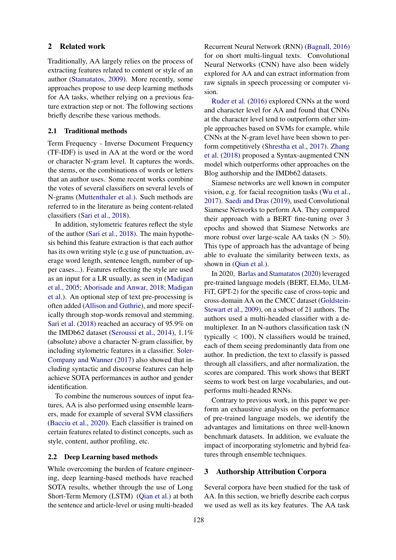### 2 Related work

Traditionally, AA largely relies on the process of extracting features related to content or style of an author [\(Stamatatos,](#page-9-5) [2009\)](#page-9-5). More recently, some approaches propose to use deep learning methods for AA tasks, whether relying on a previous feature extraction step or not. The following sections briefly describe these various methods.

## 2.1 Traditional methods

Term Frequency - Inverse Document Frequency (TF-IDF) is used in AA at the word or the word or character N-gram level. It captures the words, the stems, or the combinations of words or letters that an author uses. Some recent works combine the votes of several classifiers on several levels of N-grams [\(Muttenthaler et al.\)](#page-9-6). Such methods are referred to in the literature as being content-related classifiers [\(Sari et al.,](#page-9-2) [2018\)](#page-9-2).

In addition, stylometric features reflect the style of the author [\(Sari et al.,](#page-9-2) [2018\)](#page-9-2). The main hypothesis behind this feature extraction is that each author has its own writing style (e.g use of punctuation, average word length, sentence length, number of upper cases...). Features reflecting the style are used as an input for a LR usually, as seen in [\(Madigan](#page-9-3) [et al.,](#page-9-3) [2005;](#page-9-3) [Aborisade and Anwar,](#page-8-1) [2018;](#page-8-1) [Madigan](#page-9-7) [et al.\)](#page-9-7). An optional step of text pre-processing is often added [\(Allison and Guthrie\)](#page-8-3), and more specifically through stop-words removal and stemming. [Sari et al.](#page-9-2) [\(2018\)](#page-9-2) reached an accuracy of 95.9% on the IMDb62 dataset [\(Seroussi et al.,](#page-9-4) [2014\)](#page-9-4), 1.1% (absolute) above a character N-gram classifier, by including stylometric features in a classifier. [Soler-](#page-9-8)[Company and Wanner](#page-9-8) [\(2017\)](#page-9-8) also showed that including syntactic and discourse features can help achieve SOTA performances in author and gender identification.

To combine the numerous sources of input features, AA is also performed using ensemble learners, made for example of several SVM classifiers [\(Bacciu et al.,](#page-8-4) [2020\)](#page-8-4). Each classifier is trained on certain features related to distinct concepts, such as style, content, author profiling, etc.

## 2.2 Deep Learning based methods

While overcoming the burden of feature engineering, deep learning-based methods have reached SOTA results, whether through the use of Long Short-Term Memory (LSTM) [\(Qian et al.\)](#page-9-9) at both the sentence and article-level or using multi-headed

Recurrent Neural Network (RNN) [\(Bagnall,](#page-8-5) [2016\)](#page-8-5) for on short multi-lingual texts. Convolutional Neural Networks (CNN) have also been widely explored for AA and can extract information from raw signals in speech processing or computer vision.

[Ruder et al.](#page-9-10) [\(2016\)](#page-9-10) explored CNNs at the word and character level for AA and found that CNNs at the character level tend to outperform other simple approaches based on SVMs for example, while CNNs at the N-gram level have been shown to perform competitively [\(Shrestha et al.,](#page-9-11) [2017\)](#page-9-11). [Zhang](#page-9-12) [et al.](#page-9-12) [\(2018\)](#page-9-12) proposed a Syntax-augmented CNN model which outperforms other approaches on the Blog authorship and the IMDb62 datasets.

Siamese networks are well known in computer vision, e.g. for facial recognition tasks [\(Wu et al.,](#page-9-13) [2017\)](#page-9-13). [Saedi and Dras](#page-9-14) [\(2019\)](#page-9-14), used Convolutional Siamese Networks to perform AA. They compared their approach with a BERT fine-tuning over 3 epochs and showed that Siamese Networks are more robust over large-scale AA tasks  $(N > 50)$ . This type of approach has the advantage of being able to evaluate the similarity between texts, as shown in [\(Qian et al.\)](#page-9-9).

In 2020, [Barlas and Stamatatos](#page-8-6) [\(2020\)](#page-8-6) leveraged pre-trained language models (BERT, ELMo, ULM-FiT, GPT-2) for the specific case of cross-topic and cross-domain AA on the CMCC dataset [\(Goldstein-](#page-8-7)[Stewart et al.,](#page-8-7) [2009\)](#page-8-7), on a subset of 21 authors. The authors used a multi-headed classifier with a demultiplexer. In an N-authors classification task (N typically  $< 100$ ), N classifiers would be trained, each of them seeing predominantly data from one author. In prediction, the text to classify is passed through all classifiers, and after normalization, the scores are compared. This work shows that BERT seems to work best on large vocabularies, and outperforms multi-headed RNNs.

Contrary to previous work, in this paper we perform an exhaustive analysis on the performance of pre-trained language models, we identify the advantages and limitations on three well-known benchmark datasets. In addition, we evaluate the impact of incorporating stylometric and hybrid features through ensemble techniques.

## <span id="page-1-0"></span>3 Authorship Attribution Corpora

Several corpora have been studied for the task of AA. In this section, we briefly describe each corpus we used as well as its key features. The AA task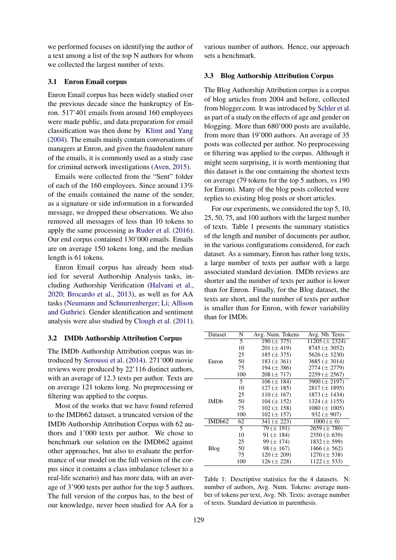we performed focuses on identifying the author of a text among a list of the top N authors for whom we collected the largest number of texts.

### 3.1 Enron Email corpus

Enron Email corpus has been widely studied over the previous decade since the bankruptcy of Enron. 517'401 emails from around 160 employees were made public, and data preparation for email classification was then done by [Klimt and Yang](#page-8-8) [\(2004\)](#page-8-8). The emails mainly contain conversations of managers at Enron, and given the fraudulent nature of the emails, it is commonly used as a study case for criminal network investigations [\(Aven,](#page-8-9) [2015\)](#page-8-9).

Emails were collected from the "Sent" folder of each of the 160 employees. Since around 13% of the emails contained the name of the sender, as a signature or side information in a forwarded message, we dropped these observations. We also removed all messages of less than 10 tokens to apply the same processing as [Ruder et al.](#page-9-10) [\(2016\)](#page-9-10). Our end corpus contained 130'000 emails. Emails are on average 150 tokens long, and the median length is 61 tokens.

Enron Email corpus has already been studied for several Authorship Analysis tasks, including Authorship Verification [\(Halvani et al.,](#page-8-10) [2020;](#page-8-10) [Brocardo et al.,](#page-8-11) [2013\)](#page-8-11), as well as for AA tasks [\(Neumann and Schnurrenberger;](#page-9-15) [Li;](#page-9-0) [Allison](#page-8-3) [and Guthrie\)](#page-8-3). Gender identification and sentiment analysis were also studied by [Clough et al.](#page-8-12) [\(2011\)](#page-8-12).

### 3.2 IMDb Authorship Attribution Corpus

The IMDb Authorship Attribution corpus was introduced by [Seroussi et al.](#page-9-4) [\(2014\)](#page-9-4). 271'000 movie reviews were produced by 22'116 distinct authors, with an average of 12.3 texts per author. Texts are on average 121 tokens long. No preprocessing or filtering was applied to the corpus.

Most of the works that we have found referred to the IMDb62 dataset, a truncated version of the IMDb Authorship Attribution Corpus with 62 authors and 1'000 texts per author. We chose to benchmark our solution on the IMDb62 against other approaches, but also to evaluate the performance of our model on the full version of the corpus since it contains a class imbalance (closer to a real-life scenario) and has more data, with an average of 3'900 texts per author for the top 5 authors. The full version of the corpus has, to the best of our knowledge, never been studied for AA for a

various number of authors. Hence, our approach sets a benchmark.

### 3.3 Blog Authorship Attribution Corpus

The Blog Authorship Attribution corpus is a corpus of blog articles from 2004 and before, collected from blogger.com. It was introduced by [Schler et al.](#page-9-16) as part of a study on the effects of age and gender on blogging. More than 680'000 posts are available, from more than 19'000 authors. An average of 35 posts was collected per author. No preprocessing or filtering was applied to the corpus. Although it might seem surprising, it is worth mentioning that this dataset is the one containing the shortest texts on average (79 tokens for the top 5 authors, vs 190 for Enron). Many of the blog posts collected were replies to existing blog posts or short articles.

For our experiments, we considered the top 5, 10, 25, 50, 75, and 100 authors with the largest number of texts. Table [1](#page-2-0) presents the summary statistics of the length and number of documents per author, in the various configurations considered, for each dataset. As a summary, Enron has rather long texts, a large number of texts per author with a large associated standard deviation. IMDb reviews are shorter and the number of texts per author is lower than for Enron. Finally, for the Blog dataset, the texts are short, and the number of texts per author is smaller than for Enron, with fewer variability than for IMDb.

<span id="page-2-0"></span>

| Dataset     | N   | Avg. Num. Tokens | Avg. Nb. Texts      |
|-------------|-----|------------------|---------------------|
|             | 5   | $190 (\pm 375)$  | $11205 (\pm 2324)$  |
| Enron       | 10  | 201 ( $\pm$ 419) | $8745 (\pm 3052)$   |
|             | 25  | 185 $(\pm 375)$  | 5626 $(\pm 3230)$   |
|             | 50  | $183 (\pm 361)$  | 3685 $(\pm 3014)$   |
|             | 75  | 194 ( $\pm$ 386) | $2774 \ (\pm 2779)$ |
|             | 100 | $208 (\pm 717)$  | $2259 \ (\pm 2567)$ |
|             | 5   | $106 (\pm 184)$  | 3900 $(\pm 2197)$   |
| <b>IMDb</b> | 10  | $127 (\pm 185)$  | $2817 (\pm 1895)$   |
|             | 25  | $110 (\pm 167)$  | 1873 $(\pm 1434)$   |
|             | 50  | $104 (\pm 152)$  | 1324 $(\pm 1155)$   |
|             | 75  | $102 (\pm 158)$  | $1080 (\pm 1005)$   |
|             | 100 | $102 (\pm 157)$  | $932 \ (\pm 907)$   |
| IMDb62      | 62  | 341 ( $\pm$ 223) | $1000 (\pm 0)$      |
|             | 5   | $79 \times 191$  | $2659 \ (\pm 780)$  |
| Blog        | 10  | 91 ( $\pm$ 184)  | $2350 (\pm 639)$    |
|             | 25  | $99 \times 174$  | 1832 $(\pm 599)$    |
|             | 50  | 98 $(\pm 167)$   | 1466 $(\pm 562)$    |
|             | 75  | $120 (\pm 209)$  | 1270 $(\pm 538)$    |
|             | 100 | $126 (\pm 228)$  | $1122 (\pm 533)$    |

Table 1: Descriptive statistics for the 4 datasets. N: number of authors, Avg. Num. Tokens: average number of tokens per text, Avg. Nb. Texts: average number of texts. Standard deviation in parenthesis.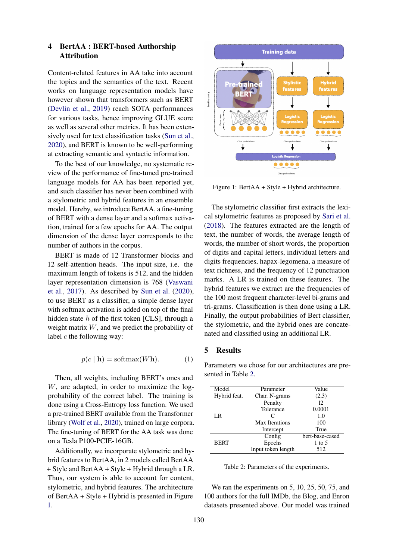## <span id="page-3-0"></span>4 BertAA : BERT-based Authorship Attribution

Content-related features in AA take into account the topics and the semantics of the text. Recent works on language representation models have however shown that transformers such as BERT [\(Devlin et al.,](#page-8-13) [2019\)](#page-8-13) reach SOTA performances for various tasks, hence improving GLUE score as well as several other metrics. It has been extensively used for text classification tasks [\(Sun et al.,](#page-9-17) [2020\)](#page-9-17), and BERT is known to be well-performing at extracting semantic and syntactic information.

To the best of our knowledge, no systematic review of the performance of fine-tuned pre-trained language models for AA has been reported yet, and such classifier has never been combined with a stylometric and hybrid features in an ensemble model. Hereby, we introduce BertAA, a fine-tuning of BERT with a dense layer and a softmax activation, trained for a few epochs for AA. The output dimension of the dense layer corresponds to the number of authors in the corpus.

BERT is made of 12 Transformer blocks and 12 self-attention heads. The input size, i.e. the maximum length of tokens is 512, and the hidden layer representation dimension is 768 [\(Vaswani](#page-9-18) [et al.,](#page-9-18) [2017\)](#page-9-18). As described by [Sun et al.](#page-9-17) [\(2020\)](#page-9-17), to use BERT as a classifier, a simple dense layer with softmax activation is added on top of the final hidden state h of the first token [CLS], through a weight matrix W, and we predict the probability of label  $c$  the following way:

$$
p(c \mid \mathbf{h}) = \text{softmax}(W\mathbf{h}).\tag{1}
$$

Then, all weights, including BERT's ones and W, are adapted, in order to maximize the logprobability of the correct label. The training is done using a Cross-Entropy loss function. We used a pre-trained BERT available from the Transformer library [\(Wolf et al.,](#page-9-19) [2020\)](#page-9-19), trained on large corpora. The fine-tuning of BERT for the AA task was done on a Tesla P100-PCIE-16GB.

Additionally, we incorporate stylometric and hybrid features to BertAA, in 2 models called BertAA + Style and BertAA + Style + Hybrid through a LR. Thus, our system is able to account for content, stylometric, and hybrid features. The architecture of BertAA + Style + Hybrid is presented in Figure [1.](#page-3-2)

<span id="page-3-2"></span>

Figure 1: BertAA + Style + Hybrid architecture.

The stylometric classifier first extracts the lexical stylometric features as proposed by [Sari et al.](#page-9-2) [\(2018\)](#page-9-2). The features extracted are the length of text, the number of words, the average length of words, the number of short words, the proportion of digits and capital letters, individual letters and digits frequencies, hapax-legomena, a measure of text richness, and the frequency of 12 punctuation marks. A LR is trained on these features. The hybrid features we extract are the frequencies of the 100 most frequent character-level bi-grams and tri-grams. Classification is then done using a LR. Finally, the output probabilities of Bert classifier, the stylometric, and the hybrid ones are concatenated and classified using an additional LR.

### <span id="page-3-1"></span>5 Results

Parameters we chose for our architectures are presented in Table [2.](#page-3-3)

<span id="page-3-3"></span>

| Model        | Parameter          | Value           |  |
|--------------|--------------------|-----------------|--|
| Hybrid feat. | Char. N-grams      | (2,3)           |  |
|              | Penalty            | 12.             |  |
|              | Tolerance          | 0.0001          |  |
| LR           | C                  | 1.0             |  |
|              | Max Iterations     | 100             |  |
|              | Intercept          | True            |  |
|              | Config             | bert-base-cased |  |
| <b>BERT</b>  | Epochs             | 1 to 5          |  |
|              | Input token length | 512             |  |

Table 2: Parameters of the experiments.

We ran the experiments on 5, 10, 25, 50, 75, and 100 authors for the full IMDb, the Blog, and Enron datasets presented above. Our model was trained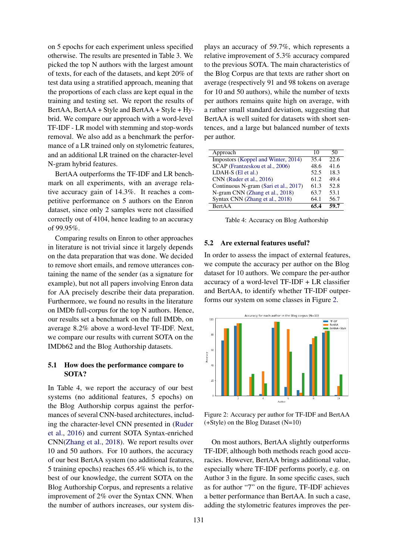on 5 epochs for each experiment unless specified otherwise. The results are presented in Table 3. We picked the top N authors with the largest amount of texts, for each of the datasets, and kept 20% of test data using a stratified approach, meaning that the proportions of each class are kept equal in the training and testing set. We report the results of BertAA, BertAA + Style and BertAA + Style + Hybrid. We compare our approach with a word-level TF-IDF - LR model with stemming and stop-words removal. We also add as a benchmark the performance of a LR trained only on stylometric features, and an additional LR trained on the character-level N-gram hybrid features.

BertAA outperforms the TF-IDF and LR benchmark on all experiments, with an average relative accuracy gain of 14.3%. It reaches a competitive performance on 5 authors on the Enron dataset, since only 2 samples were not classified correctly out of 4104, hence leading to an accuracy of 99.95%.

Comparing results on Enron to other approaches in literature is not trivial since it largely depends on the data preparation that was done. We decided to remove short emails, and remove utterances containing the name of the sender (as a signature for example), but not all papers involving Enron data for AA precisely describe their data preparation. Furthermore, we found no results in the literature on IMDb full-corpus for the top N authors. Hence, our results set a benchmark on the full IMDb, on average 8.2% above a word-level TF-IDF. Next, we compare our results with current SOTA on the IMDb62 and the Blog Authorship datasets.

## 5.1 How does the performance compare to SOTA?

In Table 4, we report the accuracy of our best systems (no additional features, 5 epochs) on the Blog Authorship corpus against the performances of several CNN-based architectures, including the character-level CNN presented in [\(Ruder](#page-9-10) [et al.,](#page-9-10) [2016\)](#page-9-10) and current SOTA Syntax-enriched CNN[\(Zhang et al.,](#page-9-12) [2018\)](#page-9-12). We report results over 10 and 50 authors. For 10 authors, the accuracy of our best BertAA system (no additional features, 5 training epochs) reaches 65.4% which is, to the best of our knowledge, the current SOTA on the Blog Authorship Corpus, and represents a relative improvement of 2% over the Syntax CNN. When the number of authors increases, our system dis-

plays an accuracy of 59.7%, which represents a relative improvement of 5.3% accuracy compared to the previous SOTA. The main characteristics of the Blog Corpus are that texts are rather short on average (respectively 91 and 98 tokens on average for 10 and 50 authors), while the number of texts per authors remains quite high on average, with a rather small standard deviation, suggesting that BertAA is well suited for datasets with short sentences, and a large but balanced number of texts per author.

| Approach                              | 10   | 50   |
|---------------------------------------|------|------|
| Impostors (Koppel and Winter, 2014)   | 35.4 | 22.6 |
| SCAP (Frantzeskou et al., 2006)       | 48.6 | 41.6 |
| LDAH-S (El et al.)                    | 52.5 | 18.3 |
| CNN (Ruder et al., 2016)              | 61.2 | 49.4 |
| Continuous N-gram (Sari et al., 2017) | 61.3 | 52.8 |
| N-gram CNN (Zhang et al., 2018)       | 63.7 | 53.1 |
| Syntax CNN (Zhang et al., 2018)       | 64.1 | 56.7 |
| <b>BertAA</b>                         | 65.4 | 59.7 |

Table 4: Accuracy on Blog Authorship

### 5.2 Are external features useful?

In order to assess the impact of external features, we compute the accuracy per author on the Blog dataset for 10 authors. We compare the per-author accuracy of a word-level TF-IDF + LR classifier and BertAA, to identify whether TF-IDF outperforms our system on some classes in Figure [2.](#page-4-0)

<span id="page-4-0"></span>

Figure 2: Accuracy per author for TF-IDF and BertAA (+Style) on the Blog Dataset (N=10)

On most authors, BertAA slightly outperforms TF-IDF, although both methods reach good accuracies. However, BertAA brings additional value, especially where TF-IDF performs poorly, e.g. on Author 3 in the figure. In some specific cases, such as for author "7" on the figure, TF-IDF achieves a better performance than BertAA. In such a case, adding the stylometric features improves the per-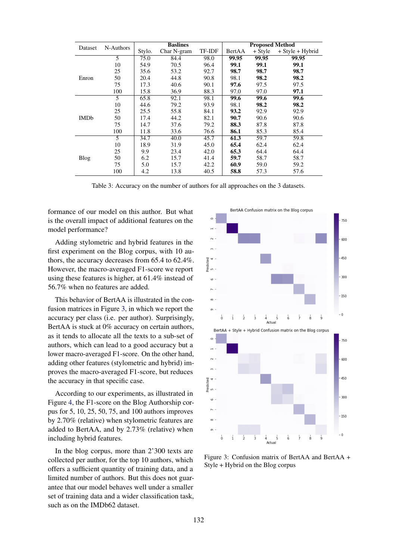| Dataset     | N-Authors | <b>Baslines</b> |             | <b>Proposed Method</b> |        |           |                  |
|-------------|-----------|-----------------|-------------|------------------------|--------|-----------|------------------|
|             |           | Stylo.          | Char N-gram | TF-IDF                 | BertAA | $+$ Style | + Style + Hybrid |
| Enron       | 5         | 75.0            | 84.4        | 98.0                   | 99.95  | 99.95     | 99.95            |
|             | 10        | 54.9            | 70.5        | 96.4                   | 99.1   | 99.1      | 99.1             |
|             | 25        | 35.6            | 53.2        | 92.7                   | 98.7   | 98.7      | 98.7             |
|             | 50        | 20.4            | 44.8        | 90.8                   | 98.1   | 98.2      | 98.2             |
|             | 75        | 17.3            | 40.6        | 90.1                   | 97.6   | 97.5      | 97.5             |
|             | 100       | 15.8            | 36.9        | 88.3                   | 97.0   | 97.0      | 97.1             |
| <b>IMDb</b> | 5         | 65.8            | 92.1        | 98.1                   | 99.6   | 99.6      | 99.6             |
|             | 10        | 44.6            | 79.2        | 93.9                   | 98.1   | 98.2      | 98.2             |
|             | 25        | 25.5            | 55.8        | 84.1                   | 93.2   | 92.9      | 92.9             |
|             | 50        | 17.4            | 44.2        | 82.1                   | 90.7   | 90.6      | 90.6             |
|             | 75        | 14.7            | 37.6        | 79.2                   | 88.3   | 87.8      | 87.8             |
|             | 100       | 11.8            | 33.6        | 76.6                   | 86.1   | 85.3      | 85.4             |
|             | 5         | 34.7            | 40.0        | 45.7                   | 61.3   | 59.7      | 59.8             |
| Blog        | 10        | 18.9            | 31.9        | 45.0                   | 65.4   | 62.4      | 62.4             |
|             | 25        | 9.9             | 23.4        | 42.0                   | 65.3   | 64.4      | 64.4             |
|             | 50        | 6.2             | 15.7        | 41.4                   | 59.7   | 58.7      | 58.7             |
|             | 75        | 5.0             | 15.7        | 42.2                   | 60.9   | 59.0      | 59.2             |
|             | 100       | 4.2             | 13.8        | 40.5                   | 58.8   | 57.3      | 57.6             |

Table 3: Accuracy on the number of authors for all approaches on the 3 datasets.

formance of our model on this author. But what is the overall impact of additional features on the model performance?

Adding stylometric and hybrid features in the first experiment on the Blog corpus, with 10 authors, the accuracy decreases from 65.4 to 62.4%. However, the macro-averaged F1-score we report using these features is higher, at 61.4% instead of 56.7% when no features are added.

This behavior of BertAA is illustrated in the confusion matrices in Figure [3,](#page-5-0) in which we report the accuracy per class (i.e. per author). Surprisingly, BertAA is stuck at 0% accuracy on certain authors, as it tends to allocate all the texts to a sub-set of authors, which can lead to a good accuracy but a lower macro-averaged F1-score. On the other hand, adding other features (stylometric and hybrid) improves the macro-averaged F1-score, but reduces the accuracy in that specific case.

According to our experiments, as illustrated in Figure [4,](#page-6-0) the F1-score on the Blog Authorship corpus for 5, 10, 25, 50, 75, and 100 authors improves by 2.70% (relative) when stylometric features are added to BertAA, and by 2.73% (relative) when including hybrid features.

In the blog corpus, more than 2'300 texts are collected per author, for the top 10 authors, which offers a sufficient quantity of training data, and a limited number of authors. But this does not guarantee that our model behaves well under a smaller set of training data and a wider classification task, such as on the IMDb62 dataset.

<span id="page-5-0"></span>

Figure 3: Confusion matrix of BertAA and BertAA + Style + Hybrid on the Blog corpus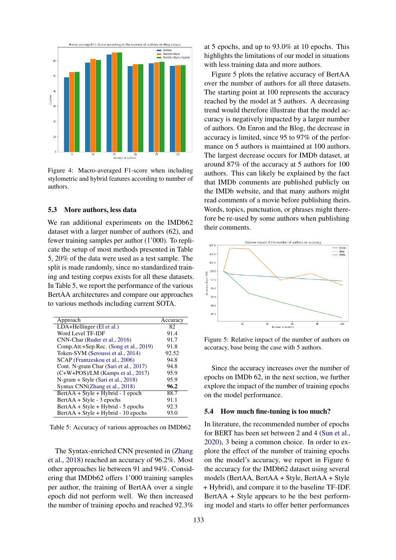<span id="page-6-0"></span>

Figure 4: Macro-averaged F1-score when including stylometric and hybrid features according to number of authors.

## 5.3 More authors, less data

We ran additional experiments on the IMDb62 dataset with a larger number of authors (62), and fewer training samples per author (1'000). To replicate the setup of most methods presented in Table 5, 20% of the data were used as a test sample. The split is made randomly, since no standardized training and testing corpus exists for all these datasets. In Table 5, we report the performance of the various BertAA architectures and compare our approaches to various methods including current SOTA.

| Approach                               | Accuracy |
|----------------------------------------|----------|
| LDA+Hellinger (El et al.)              | 82.      |
| Word Level TF-IDF                      | 91.4     |
| CNN-Char (Ruder et al., 2016)          | 91.7     |
| Comp.Att.+Sep.Rec. (Song et al., 2019) | 91.8     |
| Token-SVM (Seroussi et al., 2014)      | 92.52    |
| SCAP (Frantzeskou et al., 2006)        | 94.8     |
| Cont. N-gram Char (Sari et al., 2017)  | 94.8     |
| $(C+W+POS)/LM$ (Kamps et al., 2017)    | 95.9     |
| N-gram + Style (Sari et al., 2018)     | 95.9     |
| Syntax CNN(Zhang et al., 2018)         | 96.2     |
| BertAA + Style + Hybrid - 1 epoch      | 88.7     |
| $BertAA + Style - 3 epochs$            | 91.1     |
| $BertAA + Style + Hybrid - 5 epochs$   | 92.3     |
| $BertAA + Style + Hybrid - 10 epochs$  | 93.0     |

Table 5: Accuracy of various approaches on IMDb62

The Syntax-enriched CNN presented in [\(Zhang](#page-9-12) [et al.,](#page-9-12) [2018\)](#page-9-12) reached an accuracy of 96.2%. Most other approaches lie between 91 and 94%. Considering that IMDb62 offers 1'000 training samples per author, the training of BertAA over a single epoch did not perform well. We then increased the number of training epochs and reached 92.3%

at 5 epochs, and up to 93.0% at 10 epochs. This highlights the limitations of our model in situations with less training data and more authors.

Figure [5](#page-6-1) plots the relative accuracy of BertAA over the number of authors for all three datasets. The starting point at 100 represents the accuracy reached by the model at 5 authors. A decreasing trend would therefore illustrate that the model accuracy is negatively impacted by a larger number of authors. On Enron and the Blog, the decrease in accuracy is limited, since 95 to 97% of the performance on 5 authors is maintained at 100 authors. The largest decrease occurs for IMDb dataset, at around 87% of the accuracy at 5 authors for 100 authors. This can likely be explained by the fact that IMDb comments are published publicly on the IMDb website, and that many authors might read comments of a movie before publishing theirs. Words, topics, punctuation, or phrases might therefore be re-used by some authors when publishing their comments.

<span id="page-6-1"></span>

Figure 5: Relative impact of the number of authors on accuracy, base being the case with 5 authors.

Since the accuracy increases over the number of epochs on IMDb 62, in the next section, we further explore the impact of the number of training epochs on the model performance.

### 5.4 How much fine-tuning is too much?

In literature, the recommended number of epochs for BERT has been set between 2 and 4 [\(Sun et al.,](#page-9-17) [2020\)](#page-9-17), 3 being a common choice. In order to explore the effect of the number of training epochs on the model's accuracy, we report in Figure [6](#page-7-2) the accuracy for the IMDb62 dataset using several models (BertAA, BertAA + Style, BertAA + Style + Hybrid), and compare it to the baseline TF-IDF. BertAA + Style appears to be the best performing model and starts to offer better performances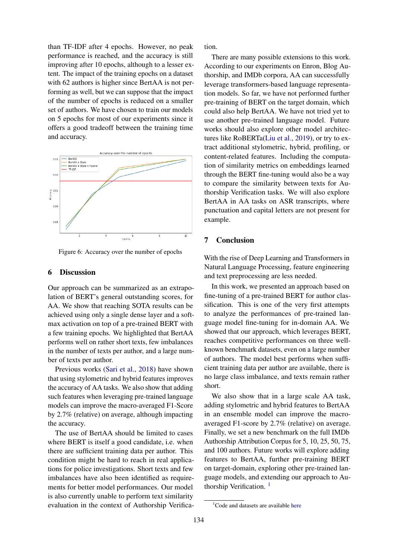than TF-IDF after 4 epochs. However, no peak performance is reached, and the accuracy is still improving after 10 epochs, although to a lesser extent. The impact of the training epochs on a dataset with 62 authors is higher since BertAA is not performing as well, but we can suppose that the impact of the number of epochs is reduced on a smaller set of authors. We have chosen to train our models on 5 epochs for most of our experiments since it offers a good tradeoff between the training time and accuracy.

<span id="page-7-2"></span>

Figure 6: Accuracy over the number of epochs

## <span id="page-7-0"></span>6 Discussion

Our approach can be summarized as an extrapolation of BERT's general outstanding scores, for AA. We show that reaching SOTA results can be achieved using only a single dense layer and a softmax activation on top of a pre-trained BERT with a few training epochs. We highlighted that BertAA performs well on rather short texts, few imbalances in the number of texts per author, and a large number of texts per author.

Previous works [\(Sari et al.,](#page-9-2) [2018\)](#page-9-2) have shown that using stylometric and hybrid features improves the accuracy of AA tasks. We also show that adding such features when leveraging pre-trained language models can improve the macro-averaged F1-Score by 2.7% (relative) on average, although impacting the accuracy.

The use of BertAA should be limited to cases where BERT is itself a good candidate, i.e. when there are sufficient training data per author. This condition might be hard to reach in real applications for police investigations. Short texts and few imbalances have also been identified as requirements for better model performances. Our model is also currently unable to perform text similarity evaluation in the context of Authorship Verification.

There are many possible extensions to this work. According to our experiments on Enron, Blog Authorship, and IMDb corpora, AA can successfully leverage transformers-based language representation models. So far, we have not performed further pre-training of BERT on the target domain, which could also help BertAA. We have not tried yet to use another pre-trained language model. Future works should also explore other model architectures like RoBERTa[\(Liu et al.,](#page-9-22) [2019\)](#page-9-22), or try to extract additional stylometric, hybrid, profiling, or content-related features. Including the computation of similarity metrics on embeddings learned through the BERT fine-tuning would also be a way to compare the similarity between texts for Authorship Verification tasks. We will also explore BertAA in AA tasks on ASR transcripts, where punctuation and capital letters are not present for example.

### <span id="page-7-1"></span>7 Conclusion

With the rise of Deep Learning and Transformers in Natural Language Processing, feature engineering and text preprocessing are less needed.

In this work, we presented an approach based on fine-tuning of a pre-trained BERT for author classification. This is one of the very first attempts to analyze the performances of pre-trained language model fine-tuning for in-domain AA. We showed that our approach, which leverages BERT, reaches competitive performances on three wellknown benchmark datasets, even on a large number of authors. The model best performs when sufficient training data per author are available, there is no large class imbalance, and texts remain rather short.

We also show that in a large scale AA task, adding stylometric and hybrid features to BertAA in an ensemble model can improve the macroaveraged F1-score by 2.7% (relative) on average. Finally, we set a new benchmark on the full IMDb Authorship Attribution Corpus for 5, 10, 25, 50, 75, and 100 authors. Future works will explore adding features to BertAA, further pre-training BERT on target-domain, exploring other pre-trained language models, and extending our approach to Au-thorship Verification.<sup>[1](#page-7-3)</sup>

<span id="page-7-3"></span><sup>&</sup>lt;sup>1</sup>Code and datasets are available [here](https://colab.research.google.com/drive/1m4anWkkb8tz3fKvzJFytygBkqCTdZ8bo?usp=sharing)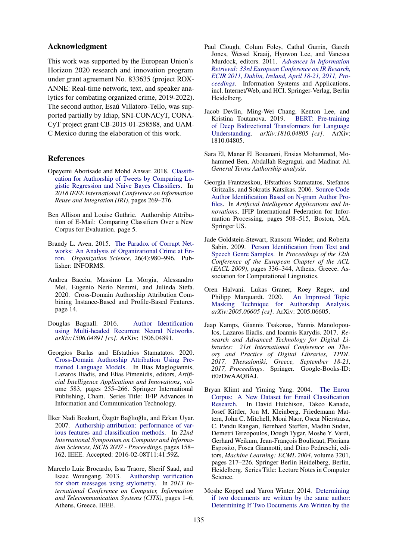## Acknowledgment

This work was supported by the European Union's Horizon 2020 research and innovation program under grant agreement No. 833635 (project ROX-ANNE: Real-time network, text, and speaker analytics for combating organized crime, 2019-2022). The second author, Esaú Villatoro-Tello, was supported partially by Idiap, SNI-CONACyT, CONA-CyT project grant CB-2015-01-258588, and UAM-C Mexico during the elaboration of this work.

### References

- <span id="page-8-1"></span>Opeyemi Aborisade and Mohd Anwar. 2018. [Classifi](https://doi.org/10.1109/IRI.2018.00049)[cation for Authorship of Tweets by Comparing Lo](https://doi.org/10.1109/IRI.2018.00049)[gistic Regression and Naive Bayes Classifiers.](https://doi.org/10.1109/IRI.2018.00049) In *2018 IEEE International Conference on Information Reuse and Integration (IRI)*, pages 269–276.
- <span id="page-8-3"></span>Ben Allison and Louise Guthrie. Authorship Attribution of E-Mail: Comparing Classifiers Over a New Corpus for Evaluation. page 5.
- <span id="page-8-9"></span>Brandy L. Aven. 2015. [The Paradox of Corrupt Net](https://doi.org/10.1287/orsc.2015.0983)[works: An Analysis of Organizational Crime at En](https://doi.org/10.1287/orsc.2015.0983)[ron.](https://doi.org/10.1287/orsc.2015.0983) *Organization Science*, 26(4):980–996. Publisher: INFORMS.
- <span id="page-8-4"></span>Andrea Bacciu, Massimo La Morgia, Alessandro Mei, Eugenio Nerio Nemmi, and Julinda Stefa. 2020. Cross-Domain Authorship Attribution Combining Instance-Based and Profile-Based Features. page 14.
- <span id="page-8-5"></span>Douglas Bagnall. 2016. [Author Identification](http://arxiv.org/abs/1506.04891) [using Multi-headed Recurrent Neural Networks.](http://arxiv.org/abs/1506.04891) *arXiv:1506.04891 [cs]*. ArXiv: 1506.04891.
- <span id="page-8-6"></span>Georgios Barlas and Efstathios Stamatatos. 2020. [Cross-Domain Authorship Attribution Using Pre](https://doi.org/10.1007/978-3-030-49161-1_22)[trained Language Models.](https://doi.org/10.1007/978-3-030-49161-1_22) In Ilias Maglogiannis, Lazaros Iliadis, and Elias Pimenidis, editors, *Artificial Intelligence Applications and Innovations*, volume 583, pages 255–266. Springer International Publishing, Cham. Series Title: IFIP Advances in Information and Communication Technology.
- <span id="page-8-2"></span>İlker Nadi Bozkurt, Özgür Bağlıoğlu, and Erkan Uyar. 2007. [Authorship attribution: performance of var](https://doi.org/10.1109/ISCIS.2007.4456854)[ious features and classification methods.](https://doi.org/10.1109/ISCIS.2007.4456854) In *22nd International Symposium on Computer and Information Sciences, ISCIS 2007 - Proceedings*, pages 158– 162. IEEE. Accepted: 2016-02-08T11:41:59Z.
- <span id="page-8-11"></span>Marcelo Luiz Brocardo, Issa Traore, Sherif Saad, and Isaac Woungang. 2013. [Authorship verification](https://doi.org/10.1109/CITS.2013.6705711) [for short messages using stylometry.](https://doi.org/10.1109/CITS.2013.6705711) In *2013 International Conference on Computer, Information and Telecommunication Systems (CITS)*, pages 1–6, Athens, Greece. IEEE.
- <span id="page-8-12"></span>Paul Clough, Colum Foley, Cathal Gurrin, Gareth Jones, Wessel Kraaij, Hyowon Lee, and Vanessa Murdock, editors. 2011. *[Advances in Information](https://doi.org/10.1007/978-3-642-20161-5) [Retrieval: 33rd European Conference on IR Resarch,](https://doi.org/10.1007/978-3-642-20161-5) [ECIR 2011, Dublin, Ireland, April 18-21, 2011, Pro](https://doi.org/10.1007/978-3-642-20161-5)[ceedings](https://doi.org/10.1007/978-3-642-20161-5)*. Information Systems and Applications, incl. Internet/Web, and HCI. Springer-Verlag, Berlin Heidelberg.
- <span id="page-8-13"></span>Jacob Devlin, Ming-Wei Chang, Kenton Lee, and Kristina Toutanova. 2019. [BERT: Pre-training](http://arxiv.org/abs/1810.04805) [of Deep Bidirectional Transformers for Language](http://arxiv.org/abs/1810.04805) [Understanding.](http://arxiv.org/abs/1810.04805) *arXiv:1810.04805 [cs]*. ArXiv: 1810.04805.
- <span id="page-8-0"></span>Sara El, Manar El Bouanani, Ensias Mohammed, Mohammed Ben, Abdallah Regragui, and Madinat Al. *General Terms Authorship analysis*.
- <span id="page-8-15"></span>Georgia Frantzeskou, Efstathios Stamatatos, Stefanos Gritzalis, and Sokratis Katsikas. 2006. [Source Code](https://doi.org/10.1007/0-387-34224-9_59) [Author Identification Based on N-gram Author Pro](https://doi.org/10.1007/0-387-34224-9_59)[files.](https://doi.org/10.1007/0-387-34224-9_59) In *Artificial Intelligence Applications and Innovations*, IFIP International Federation for Information Processing, pages 508–515, Boston, MA. Springer US.
- <span id="page-8-7"></span>Jade Goldstein-Stewart, Ransom Winder, and Roberta Sabin. 2009. [Person Identification from Text and](https://www.aclweb.org/anthology/E09-1039) [Speech Genre Samples.](https://www.aclweb.org/anthology/E09-1039) In *Proceedings of the 12th Conference of the European Chapter of the ACL (EACL 2009)*, pages 336–344, Athens, Greece. Association for Computational Linguistics.
- <span id="page-8-10"></span>Oren Halvani, Lukas Graner, Roey Regev, and Philipp Marquardt. 2020. [An Improved Topic](http://arxiv.org/abs/2005.06605) [Masking Technique for Authorship Analysis.](http://arxiv.org/abs/2005.06605) *arXiv:2005.06605 [cs]*. ArXiv: 2005.06605.
- <span id="page-8-16"></span>Jaap Kamps, Giannis Tsakonas, Yannis Manolopoulos, Lazaros Iliadis, and Ioannis Karydis. 2017. *Research and Advanced Technology for Digital Libraries: 21st International Conference on Theory and Practice of Digital Libraries, TPDL 2017, Thessaloniki, Greece, September 18-21, 2017, Proceedings*. Springer. Google-Books-ID: it0zDwAAQBAJ.
- <span id="page-8-8"></span>Bryan Klimt and Yiming Yang. 2004. [The Enron](https://doi.org/10.1007/978-3-540-30115-8_22) [Corpus: A New Dataset for Email Classification](https://doi.org/10.1007/978-3-540-30115-8_22) [Research.](https://doi.org/10.1007/978-3-540-30115-8_22) In David Hutchison, Takeo Kanade, Josef Kittler, Jon M. Kleinberg, Friedemann Mattern, John C. Mitchell, Moni Naor, Oscar Nierstrasz, C. Pandu Rangan, Bernhard Steffen, Madhu Sudan, Demetri Terzopoulos, Dough Tygar, Moshe Y. Vardi, Gerhard Weikum, Jean-François Boulicaut, Floriana Esposito, Fosca Giannotti, and Dino Pedreschi, editors, *Machine Learning: ECML 2004*, volume 3201, pages 217–226. Springer Berlin Heidelberg, Berlin, Heidelberg. Series Title: Lecture Notes in Computer Science.
- <span id="page-8-14"></span>Moshe Koppel and Yaron Winter. 2014. [Determining](https://doi.org/10.1002/asi.22954) [if two documents are written by the same author:](https://doi.org/10.1002/asi.22954) [Determining If Two Documents Are Written by the](https://doi.org/10.1002/asi.22954)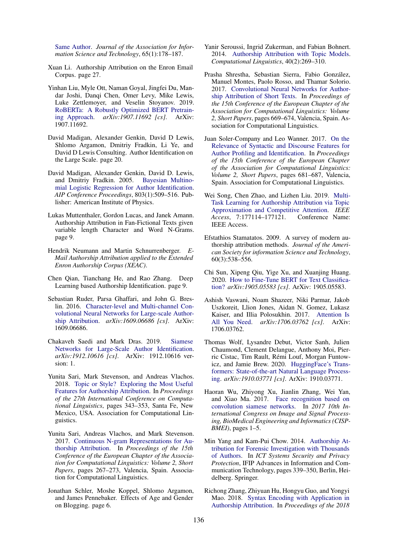[Same Author.](https://doi.org/10.1002/asi.22954) *Journal of the Association for Information Science and Technology*, 65(1):178–187.

- <span id="page-9-0"></span>Xuan Li. Authorship Attribution on the Enron Email Corpus. page 27.
- <span id="page-9-22"></span>Yinhan Liu, Myle Ott, Naman Goyal, Jingfei Du, Mandar Joshi, Danqi Chen, Omer Levy, Mike Lewis, Luke Zettlemoyer, and Veselin Stoyanov. 2019. [RoBERTa: A Robustly Optimized BERT Pretrain](http://arxiv.org/abs/1907.11692)[ing Approach.](http://arxiv.org/abs/1907.11692) *arXiv:1907.11692 [cs]*. ArXiv: 1907.11692.
- <span id="page-9-7"></span>David Madigan, Alexander Genkin, David D Lewis, Shlomo Argamon, Dmitriy Fradkin, Li Ye, and David D Lewis Consulting. Author Identification on the Large Scale. page 20.
- <span id="page-9-3"></span>David Madigan, Alexander Genkin, David D. Lewis, and Dmitriy Fradkin. 2005. [Bayesian Multino](https://doi.org/10.1063/1.2149832)[mial Logistic Regression for Author Identification.](https://doi.org/10.1063/1.2149832) *AIP Conference Proceedings*, 803(1):509–516. Publisher: American Institute of Physics.
- <span id="page-9-6"></span>Lukas Muttenthaler, Gordon Lucas, and Janek Amann. Authorship Attribution in Fan-Fictional Texts given variable length Character and Word N-Grams. page 9.
- <span id="page-9-15"></span>Hendrik Neumann and Martin Schnurrenberger. *E-Mail Authorship Attribution applied to the Extended Enron Authorship Corpus (XEAC)*.
- <span id="page-9-9"></span>Chen Qian, Tianchang He, and Rao Zhang. Deep Learning based Authorship Identification. page 9.
- <span id="page-9-10"></span>Sebastian Ruder, Parsa Ghaffari, and John G. Breslin. 2016. [Character-level and Multi-channel Con](http://arxiv.org/abs/1609.06686)[volutional Neural Networks for Large-scale Author](http://arxiv.org/abs/1609.06686)[ship Attribution.](http://arxiv.org/abs/1609.06686) *arXiv:1609.06686 [cs]*. ArXiv: 1609.06686.
- <span id="page-9-14"></span>Chakaveh Saedi and Mark Dras. 2019. [Siamese](http://arxiv.org/abs/1912.10616) [Networks for Large-Scale Author Identification.](http://arxiv.org/abs/1912.10616) *arXiv:1912.10616 [cs]*. ArXiv: 1912.10616 version: 1.
- <span id="page-9-2"></span>Yunita Sari, Mark Stevenson, and Andreas Vlachos. 2018. [Topic or Style? Exploring the Most Useful](https://www.aclweb.org/anthology/C18-1029) [Features for Authorship Attribution.](https://www.aclweb.org/anthology/C18-1029) In *Proceedings of the 27th International Conference on Computational Linguistics*, pages 343–353, Santa Fe, New Mexico, USA. Association for Computational Linguistics.
- <span id="page-9-20"></span>Yunita Sari, Andreas Vlachos, and Mark Stevenson. 2017. [Continuous N-gram Representations for Au](https://www.aclweb.org/anthology/E17-2043)[thorship Attribution.](https://www.aclweb.org/anthology/E17-2043) In *Proceedings of the 15th Conference of the European Chapter of the Association for Computational Linguistics: Volume 2, Short Papers*, pages 267–273, Valencia, Spain. Association for Computational Linguistics.
- <span id="page-9-16"></span>Jonathan Schler, Moshe Koppel, Shlomo Argamon, and James Pennebaker. Effects of Age and Gender on Blogging. page 6.
- <span id="page-9-4"></span>Yanir Seroussi, Ingrid Zukerman, and Fabian Bohnert. 2014. [Authorship Attribution with Topic Models.](https://doi.org/10.1162/COLI_a_00173) *Computational Linguistics*, 40(2):269–310.
- <span id="page-9-11"></span>Prasha Shrestha, Sebastian Sierra, Fabio Gonzalez, ´ Manuel Montes, Paolo Rosso, and Thamar Solorio. 2017. [Convolutional Neural Networks for Author](https://www.aclweb.org/anthology/E17-2106)[ship Attribution of Short Texts.](https://www.aclweb.org/anthology/E17-2106) In *Proceedings of the 15th Conference of the European Chapter of the Association for Computational Linguistics: Volume 2, Short Papers*, pages 669–674, Valencia, Spain. Association for Computational Linguistics.
- <span id="page-9-8"></span>Juan Soler-Company and Leo Wanner. 2017. [On the](https://www.aclweb.org/anthology/E17-2108) [Relevance of Syntactic and Discourse Features for](https://www.aclweb.org/anthology/E17-2108) [Author Profiling and Identification.](https://www.aclweb.org/anthology/E17-2108) In *Proceedings of the 15th Conference of the European Chapter of the Association for Computational Linguistics: Volume 2, Short Papers*, pages 681–687, Valencia, Spain. Association for Computational Linguistics.
- <span id="page-9-21"></span>Wei Song, Chen Zhao, and Lizhen Liu. 2019. [Multi-](https://doi.org/10.1109/ACCESS.2019.2957152)[Task Learning for Authorship Attribution via Topic](https://doi.org/10.1109/ACCESS.2019.2957152) [Approximation and Competitive Attention.](https://doi.org/10.1109/ACCESS.2019.2957152) *IEEE Access*, 7:177114–177121. Conference Name: IEEE Access.
- <span id="page-9-5"></span>Efstathios Stamatatos. 2009. A survey of modern authorship attribution methods. *Journal of the American Society for information Science and Technology*, 60(3):538–556.
- <span id="page-9-17"></span>Chi Sun, Xipeng Qiu, Yige Xu, and Xuanjing Huang. 2020. [How to Fine-Tune BERT for Text Classifica](http://arxiv.org/abs/1905.05583)[tion?](http://arxiv.org/abs/1905.05583) *arXiv:1905.05583 [cs]*. ArXiv: 1905.05583.
- <span id="page-9-18"></span>Ashish Vaswani, Noam Shazeer, Niki Parmar, Jakob Uszkoreit, Llion Jones, Aidan N. Gomez, Lukasz Kaiser, and Illia Polosukhin. 2017. [Attention Is](http://arxiv.org/abs/1706.03762) [All You Need.](http://arxiv.org/abs/1706.03762) *arXiv:1706.03762 [cs]*. ArXiv: 1706.03762.
- <span id="page-9-19"></span>Thomas Wolf, Lysandre Debut, Victor Sanh, Julien Chaumond, Clement Delangue, Anthony Moi, Pierric Cistac, Tim Rault, Rémi Louf, Morgan Funtowicz, and Jamie Brew. 2020. [HuggingFace's Trans](http://arxiv.org/abs/1910.03771)[formers: State-of-the-art Natural Language Process](http://arxiv.org/abs/1910.03771)[ing.](http://arxiv.org/abs/1910.03771) *arXiv:1910.03771 [cs]*. ArXiv: 1910.03771.
- <span id="page-9-13"></span>Haoran Wu, Zhiyong Xu, Jianlin Zhang, Wei Yan, and Xiao Ma. 2017. [Face recognition based on](https://doi.org/10.1109/CISP-BMEI.2017.8302003) [convolution siamese networks.](https://doi.org/10.1109/CISP-BMEI.2017.8302003) In *2017 10th International Congress on Image and Signal Processing, BioMedical Engineering and Informatics (CISP-BMEI)*, pages 1–5.
- <span id="page-9-1"></span>Min Yang and Kam-Pui Chow. 2014. [Authorship At](https://doi.org/10.1007/978-3-642-55415-5_28)[tribution for Forensic Investigation with Thousands](https://doi.org/10.1007/978-3-642-55415-5_28) [of Authors.](https://doi.org/10.1007/978-3-642-55415-5_28) In *ICT Systems Security and Privacy Protection*, IFIP Advances in Information and Communication Technology, pages 339–350, Berlin, Heidelberg. Springer.
- <span id="page-9-12"></span>Richong Zhang, Zhiyuan Hu, Hongyu Guo, and Yongyi Mao. 2018. [Syntax Encoding with Application in](https://doi.org/10.18653/v1/D18-1294) [Authorship Attribution.](https://doi.org/10.18653/v1/D18-1294) In *Proceedings of the 2018*